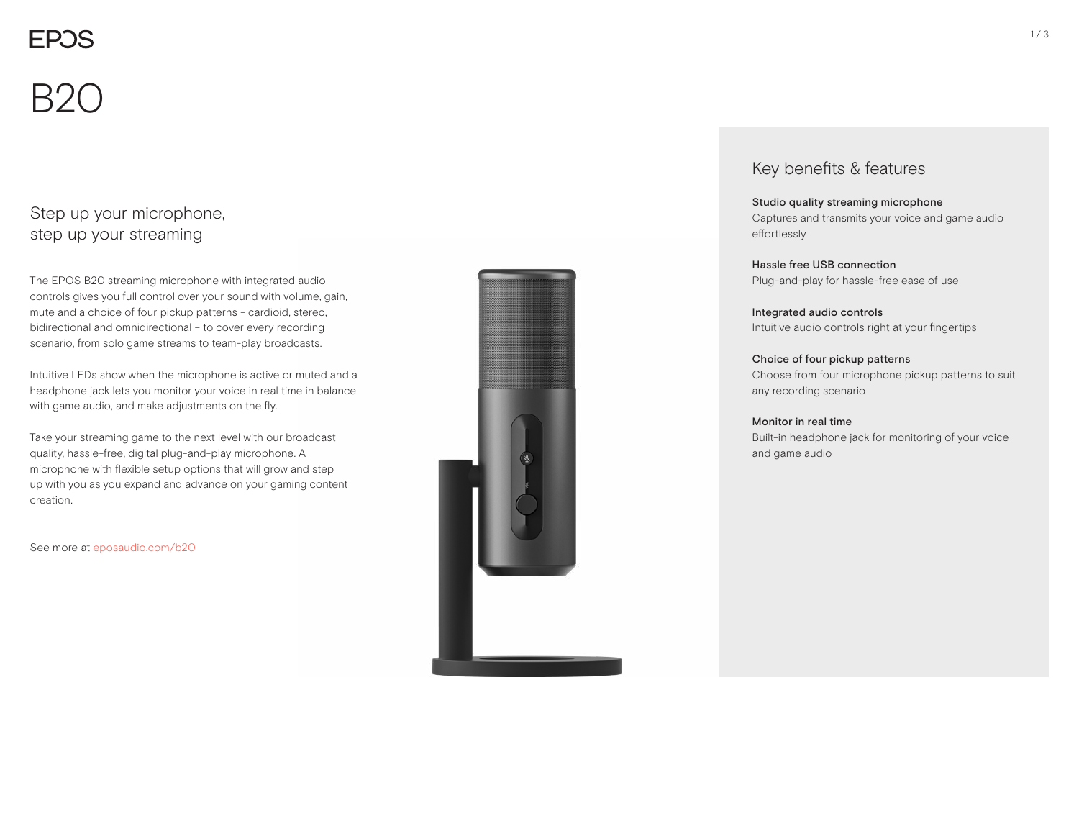$B2C$ 

### Step up your microphone, step up your streaming

The EPOS B20 streaming microphone with integrated audio controls gives you full control over your sound with volume, gain, mute and a choice of four pickup patterns - cardioid, stereo, bidirectional and omnidirectional – to cover every recording scenario, from solo game streams to team-play broadcasts.

Intuitive LEDs show when the microphone is active or muted and a headphone jack lets you monitor your voice in real time in balance with game audio, and make adjustments on the fly.

Take your streaming game to the next level with our broadcast quality, hassle-free, digital plug-and-play microphone. A microphone with flexible setup options that will grow and step up with you as you expand and advance on your gaming content creation.

See more at eposaudio.com/b20



### Key benefits & features

### Studio quality streaming microphone Captures and transmits your voice and game audio

effortlessly

Hassle free USB connection Plug-and-play for hassle-free ease of use

Integrated audio controls Intuitive audio controls right at your fingertips

#### Choice of four pickup patterns Choose from four microphone pickup patterns to suit any recording scenario

#### Monitor in real time

Built-in headphone jack for monitoring of your voice and game audio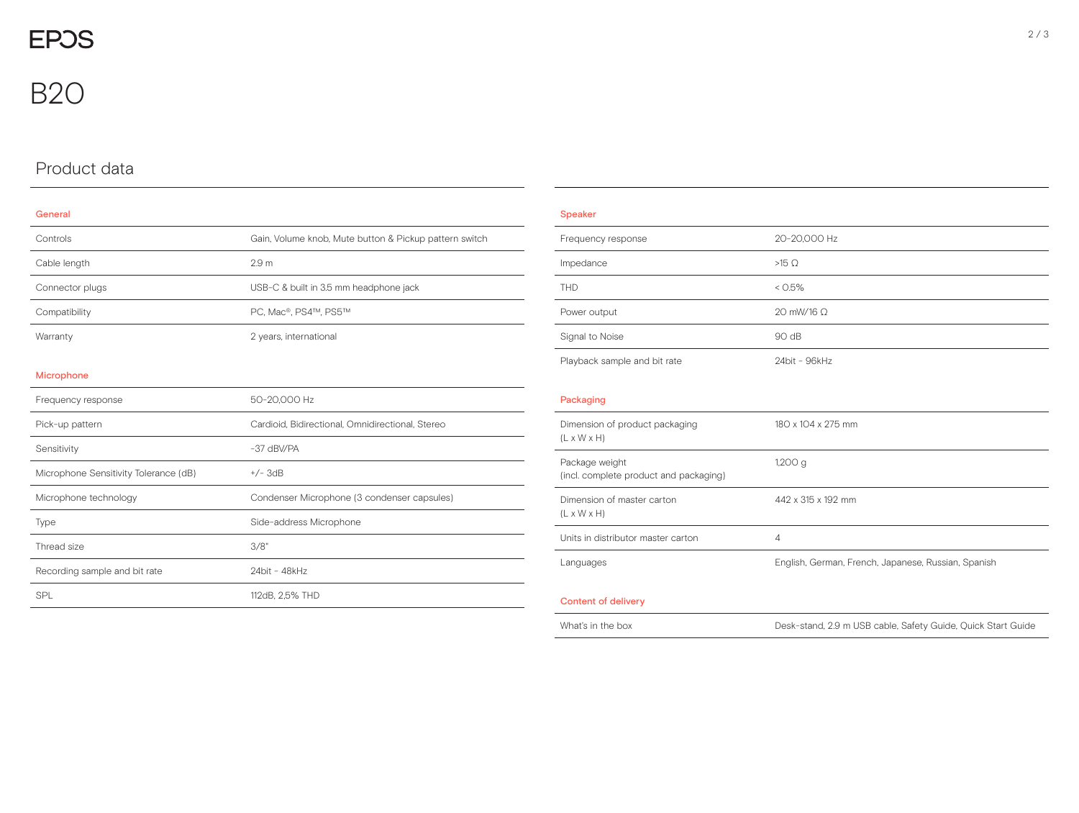# Product data

| General                               |                                                        |
|---------------------------------------|--------------------------------------------------------|
| Controls                              | Gain, Volume knob, Mute button & Pickup pattern switch |
| Cable length                          | 2.9 <sub>m</sub>                                       |
| Connector plugs                       | USB-C & built in 3.5 mm headphone jack                 |
| Compatibility                         | PC, Mac®, PS4™, PS5™                                   |
| Warranty                              | 2 years, international                                 |
|                                       |                                                        |
| Microphone                            |                                                        |
| Frequency response                    | 50-20,000 Hz                                           |
| Pick-up pattern                       | Cardioid, Bidirectional, Omnidirectional, Stereo       |
| Sensitivity                           | -37 dBV/PA                                             |
| Microphone Sensitivity Tolerance (dB) | $+/-$ 3dB                                              |
| Microphone technology                 | Condenser Microphone (3 condenser capsules)            |
| Type                                  | Side-address Microphone                                |
| Thread size                           | 3/8"                                                   |
| Recording sample and bit rate         | 24bit - 48kHz                                          |
| <b>SPI</b>                            | 112dB, 2.5% THD                                        |

| $\sim$ | e e c | . |
|--------|-------|---|
|        |       |   |

| Frequency response           | 20-20,000 Hz      |
|------------------------------|-------------------|
| Impedance                    | $>15$ $\Omega$    |
| <b>THD</b>                   | $< 0.5\%$         |
| Power output                 | 20 mW/16 $\Omega$ |
| Signal to Noise              | 90 dB             |
| Playback sample and bit rate | 24bit - 96kHz     |
|                              |                   |

### Packaging

| Dimension of product packaging<br>$(L \times W \times H)$ | 180 x 104 x 275 mm                                           |
|-----------------------------------------------------------|--------------------------------------------------------------|
| Package weight<br>(incl. complete product and packaging)  | $1,200$ g                                                    |
| Dimension of master carton<br>$(L \times W \times H)$     | 442 x 315 x 192 mm                                           |
| Units in distributor master carton                        | 4                                                            |
| Languages                                                 | English, German, French, Japanese, Russian, Spanish          |
| <b>Content of delivery</b>                                |                                                              |
| What's in the box                                         | Desk-stand, 2.9 m USB cable, Safety Guide, Quick Start Guide |